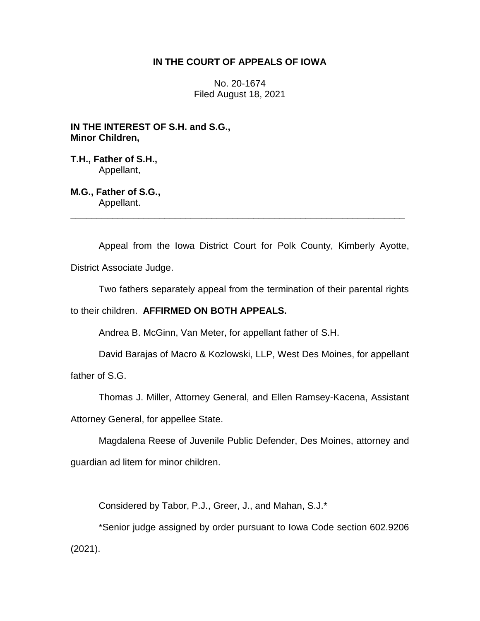## **IN THE COURT OF APPEALS OF IOWA**

No. 20-1674 Filed August 18, 2021

**IN THE INTEREST OF S.H. and S.G., Minor Children,**

**T.H., Father of S.H.,** Appellant,

**M.G., Father of S.G.,** Appellant.

Appeal from the Iowa District Court for Polk County, Kimberly Ayotte, District Associate Judge.

\_\_\_\_\_\_\_\_\_\_\_\_\_\_\_\_\_\_\_\_\_\_\_\_\_\_\_\_\_\_\_\_\_\_\_\_\_\_\_\_\_\_\_\_\_\_\_\_\_\_\_\_\_\_\_\_\_\_\_\_\_\_\_\_

Two fathers separately appeal from the termination of their parental rights

to their children. **AFFIRMED ON BOTH APPEALS.**

Andrea B. McGinn, Van Meter, for appellant father of S.H.

David Barajas of Macro & Kozlowski, LLP, West Des Moines, for appellant

father of S.G.

Thomas J. Miller, Attorney General, and Ellen Ramsey-Kacena, Assistant

Attorney General, for appellee State.

Magdalena Reese of Juvenile Public Defender, Des Moines, attorney and guardian ad litem for minor children.

Considered by Tabor, P.J., Greer, J., and Mahan, S.J.\*

\*Senior judge assigned by order pursuant to Iowa Code section 602.9206 (2021).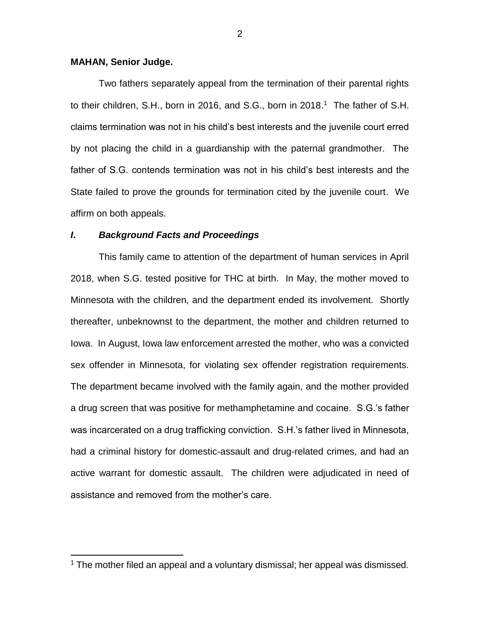## **MAHAN, Senior Judge.**

 $\overline{a}$ 

Two fathers separately appeal from the termination of their parental rights to their children, S.H., born in 2016, and S.G., born in 2018. 1 The father of S.H. claims termination was not in his child's best interests and the juvenile court erred by not placing the child in a guardianship with the paternal grandmother. The father of S.G. contends termination was not in his child's best interests and the State failed to prove the grounds for termination cited by the juvenile court. We affirm on both appeals.

#### *I***.** *Background Facts and Proceedings*

This family came to attention of the department of human services in April 2018, when S.G. tested positive for THC at birth. In May, the mother moved to Minnesota with the children, and the department ended its involvement. Shortly thereafter, unbeknownst to the department, the mother and children returned to Iowa. In August, Iowa law enforcement arrested the mother, who was a convicted sex offender in Minnesota, for violating sex offender registration requirements. The department became involved with the family again, and the mother provided a drug screen that was positive for methamphetamine and cocaine. S.G.'s father was incarcerated on a drug trafficking conviction. S.H.'s father lived in Minnesota, had a criminal history for domestic-assault and drug-related crimes, and had an active warrant for domestic assault. The children were adjudicated in need of assistance and removed from the mother's care.

<sup>&</sup>lt;sup>1</sup> The mother filed an appeal and a voluntary dismissal; her appeal was dismissed.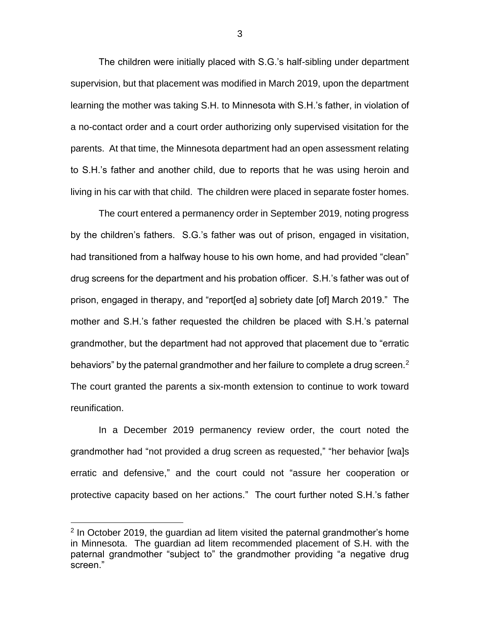The children were initially placed with S.G.'s half-sibling under department supervision, but that placement was modified in March 2019, upon the department learning the mother was taking S.H. to Minnesota with S.H.'s father, in violation of a no-contact order and a court order authorizing only supervised visitation for the parents. At that time, the Minnesota department had an open assessment relating to S.H.'s father and another child, due to reports that he was using heroin and living in his car with that child. The children were placed in separate foster homes.

The court entered a permanency order in September 2019, noting progress by the children's fathers. S.G.'s father was out of prison, engaged in visitation, had transitioned from a halfway house to his own home, and had provided "clean" drug screens for the department and his probation officer. S.H.'s father was out of prison, engaged in therapy, and "report[ed a] sobriety date [of] March 2019." The mother and S.H.'s father requested the children be placed with S.H.'s paternal grandmother, but the department had not approved that placement due to "erratic behaviors" by the paternal grandmother and her failure to complete a drug screen. $^2$ The court granted the parents a six-month extension to continue to work toward reunification.

In a December 2019 permanency review order, the court noted the grandmother had "not provided a drug screen as requested," "her behavior [wa]s erratic and defensive," and the court could not "assure her cooperation or protective capacity based on her actions." The court further noted S.H.'s father

 $\overline{a}$ 

 $2$  In October 2019, the guardian ad litem visited the paternal grandmother's home in Minnesota. The guardian ad litem recommended placement of S.H. with the paternal grandmother "subject to" the grandmother providing "a negative drug screen."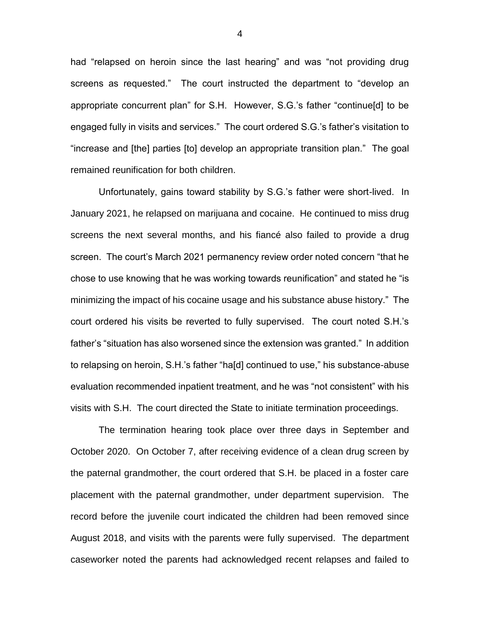had "relapsed on heroin since the last hearing" and was "not providing drug screens as requested." The court instructed the department to "develop an appropriate concurrent plan" for S.H. However, S.G.'s father "continue[d] to be engaged fully in visits and services." The court ordered S.G.'s father's visitation to "increase and [the] parties [to] develop an appropriate transition plan." The goal remained reunification for both children.

Unfortunately, gains toward stability by S.G.'s father were short-lived. In January 2021, he relapsed on marijuana and cocaine. He continued to miss drug screens the next several months, and his fiancé also failed to provide a drug screen. The court's March 2021 permanency review order noted concern "that he chose to use knowing that he was working towards reunification" and stated he "is minimizing the impact of his cocaine usage and his substance abuse history." The court ordered his visits be reverted to fully supervised. The court noted S.H.'s father's "situation has also worsened since the extension was granted." In addition to relapsing on heroin, S.H.'s father "ha[d] continued to use," his substance-abuse evaluation recommended inpatient treatment, and he was "not consistent" with his visits with S.H. The court directed the State to initiate termination proceedings.

The termination hearing took place over three days in September and October 2020. On October 7, after receiving evidence of a clean drug screen by the paternal grandmother, the court ordered that S.H. be placed in a foster care placement with the paternal grandmother, under department supervision. The record before the juvenile court indicated the children had been removed since August 2018, and visits with the parents were fully supervised. The department caseworker noted the parents had acknowledged recent relapses and failed to

4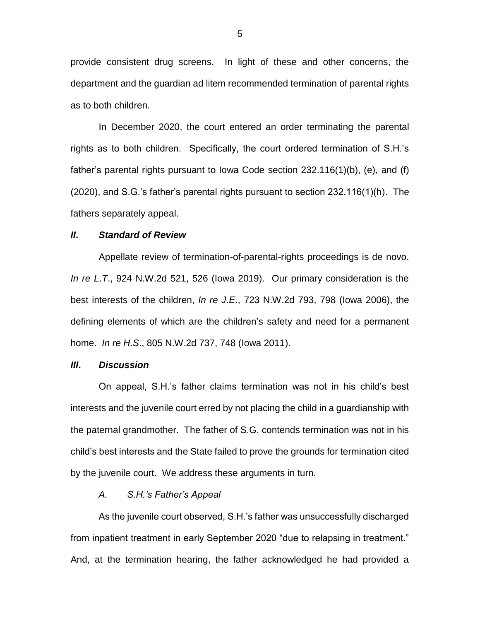provide consistent drug screens. In light of these and other concerns, the department and the guardian ad litem recommended termination of parental rights as to both children.

In December 2020, the court entered an order terminating the parental rights as to both children. Specifically, the court ordered termination of S.H.'s father's parental rights pursuant to Iowa Code section 232.116(1)(b), (e), and (f) (2020), and S.G.'s father's parental rights pursuant to section 232.116(1)(h). The fathers separately appeal.

## *II***.** *Standard of Review*

Appellate review of termination-of-parental-rights proceedings is de novo. *In re L*.*T*., 924 N.W.2d 521, 526 (Iowa 2019). Our primary consideration is the best interests of the children, *In re J*.*E*., 723 N.W.2d 793, 798 (Iowa 2006), the defining elements of which are the children's safety and need for a permanent home. *In re H*.*S*., 805 N.W.2d 737, 748 (Iowa 2011).

#### *III***.** *Discussion*

On appeal, S.H.'s father claims termination was not in his child's best interests and the juvenile court erred by not placing the child in a guardianship with the paternal grandmother. The father of S.G. contends termination was not in his child's best interests and the State failed to prove the grounds for termination cited by the juvenile court. We address these arguments in turn.

## *A. S.H.'s Father's Appeal*

As the juvenile court observed, S.H.'s father was unsuccessfully discharged from inpatient treatment in early September 2020 "due to relapsing in treatment." And, at the termination hearing, the father acknowledged he had provided a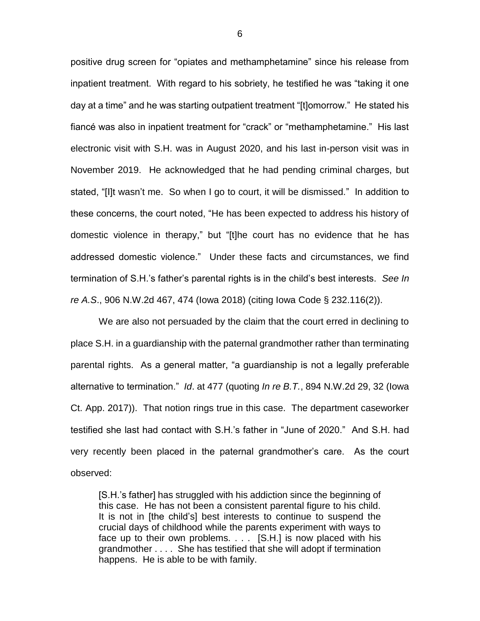positive drug screen for "opiates and methamphetamine" since his release from inpatient treatment. With regard to his sobriety, he testified he was "taking it one day at a time" and he was starting outpatient treatment "[t]omorrow." He stated his fiancé was also in inpatient treatment for "crack" or "methamphetamine." His last electronic visit with S.H. was in August 2020, and his last in-person visit was in November 2019. He acknowledged that he had pending criminal charges, but stated, "[I]t wasn't me. So when I go to court, it will be dismissed." In addition to these concerns, the court noted, "He has been expected to address his history of domestic violence in therapy," but "[t]he court has no evidence that he has addressed domestic violence." Under these facts and circumstances, we find termination of S.H.'s father's parental rights is in the child's best interests. *See In re A.S*., 906 N.W.2d 467, 474 (Iowa 2018) (citing Iowa Code § 232.116(2)).

We are also not persuaded by the claim that the court erred in declining to place S.H. in a guardianship with the paternal grandmother rather than terminating parental rights. As a general matter, "a guardianship is not a legally preferable alternative to termination." *Id*. at 477 (quoting *In re B.T.*, 894 N.W.2d 29, 32 (Iowa Ct. App. 2017)). That notion rings true in this case. The department caseworker testified she last had contact with S.H.'s father in "June of 2020." And S.H. had very recently been placed in the paternal grandmother's care. As the court observed:

[S.H.'s father] has struggled with his addiction since the beginning of this case. He has not been a consistent parental figure to his child. It is not in [the child's] best interests to continue to suspend the crucial days of childhood while the parents experiment with ways to face up to their own problems. . . . [S.H.] is now placed with his grandmother . . . . She has testified that she will adopt if termination happens. He is able to be with family.

6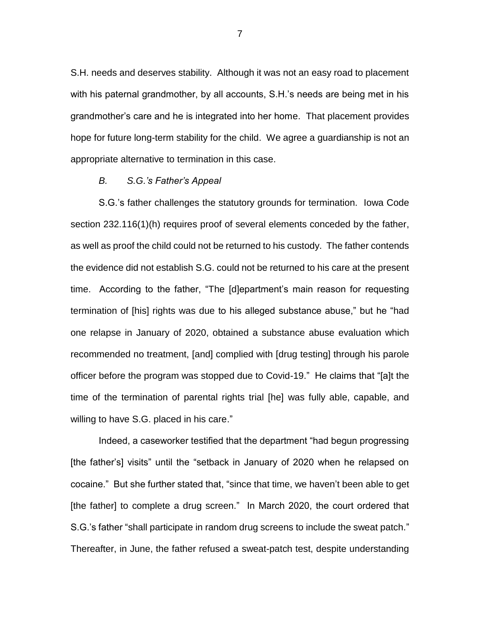S.H. needs and deserves stability. Although it was not an easy road to placement with his paternal grandmother, by all accounts, S.H.'s needs are being met in his grandmother's care and he is integrated into her home. That placement provides hope for future long-term stability for the child. We agree a guardianship is not an appropriate alternative to termination in this case.

## *B. S.G.'s Father's Appeal*

S.G.'s father challenges the statutory grounds for termination. Iowa Code section 232.116(1)(h) requires proof of several elements conceded by the father, as well as proof the child could not be returned to his custody. The father contends the evidence did not establish S.G. could not be returned to his care at the present time. According to the father, "The [d]epartment's main reason for requesting termination of [his] rights was due to his alleged substance abuse," but he "had one relapse in January of 2020, obtained a substance abuse evaluation which recommended no treatment, [and] complied with [drug testing] through his parole officer before the program was stopped due to Covid-19." He claims that "[a]t the time of the termination of parental rights trial [he] was fully able, capable, and willing to have S.G. placed in his care."

Indeed, a caseworker testified that the department "had begun progressing [the father's] visits" until the "setback in January of 2020 when he relapsed on cocaine." But she further stated that, "since that time, we haven't been able to get [the father] to complete a drug screen." In March 2020, the court ordered that S.G.'s father "shall participate in random drug screens to include the sweat patch." Thereafter, in June, the father refused a sweat-patch test, despite understanding

7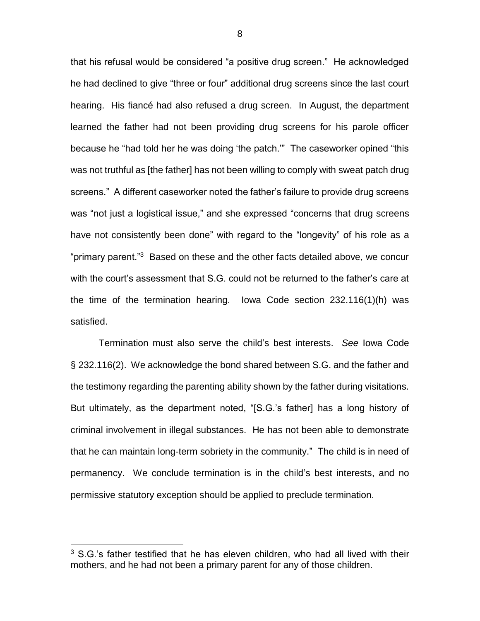that his refusal would be considered "a positive drug screen." He acknowledged he had declined to give "three or four" additional drug screens since the last court hearing. His fiancé had also refused a drug screen. In August, the department learned the father had not been providing drug screens for his parole officer because he "had told her he was doing 'the patch.'" The caseworker opined "this was not truthful as [the father] has not been willing to comply with sweat patch drug screens." A different caseworker noted the father's failure to provide drug screens was "not just a logistical issue," and she expressed "concerns that drug screens have not consistently been done" with regard to the "longevity" of his role as a "primary parent."<sup>3</sup> Based on these and the other facts detailed above, we concur with the court's assessment that S.G. could not be returned to the father's care at the time of the termination hearing. Iowa Code section 232.116(1)(h) was satisfied.

Termination must also serve the child's best interests. *See* Iowa Code § 232.116(2). We acknowledge the bond shared between S.G. and the father and the testimony regarding the parenting ability shown by the father during visitations. But ultimately, as the department noted, "[S.G.'s father] has a long history of criminal involvement in illegal substances. He has not been able to demonstrate that he can maintain long-term sobriety in the community." The child is in need of permanency. We conclude termination is in the child's best interests, and no permissive statutory exception should be applied to preclude termination.

 $\overline{a}$ 

 $3$  S.G.'s father testified that he has eleven children, who had all lived with their mothers, and he had not been a primary parent for any of those children.